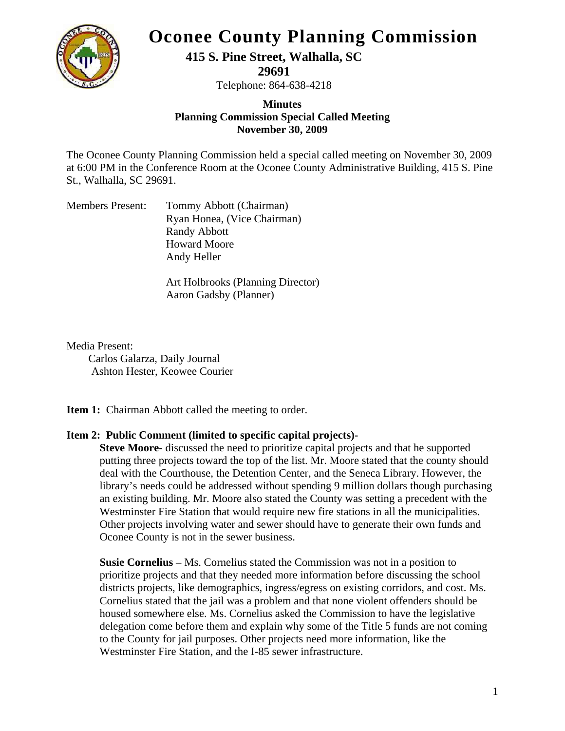

## **Oconee County Planning Commission**

**415 S. Pine Street, Walhalla, SC** 

**29691** 

Telephone: 864-638-4218

## **Minutes Planning Commission Special Called Meeting November 30, 2009**

The Oconee County Planning Commission held a special called meeting on November 30, 2009 at 6:00 PM in the Conference Room at the Oconee County Administrative Building, 415 S. Pine St., Walhalla, SC 29691.

| <b>Members Present:</b> | Tommy Abbott (Chairman)     |
|-------------------------|-----------------------------|
|                         | Ryan Honea, (Vice Chairman) |
|                         | <b>Randy Abbott</b>         |
|                         | <b>Howard Moore</b>         |
|                         | Andy Heller                 |

Art Holbrooks (Planning Director) Aaron Gadsby (Planner)

Media Present:

 Carlos Galarza, Daily Journal Ashton Hester, Keowee Courier

**Item 1:** Chairman Abbott called the meeting to order.

## **Item 2: Public Comment (limited to specific capital projects)-**

 **Steve Moore-** discussed the need to prioritize capital projects and that he supported putting three projects toward the top of the list. Mr. Moore stated that the county should deal with the Courthouse, the Detention Center, and the Seneca Library. However, the library's needs could be addressed without spending 9 million dollars though purchasing an existing building. Mr. Moore also stated the County was setting a precedent with the Westminster Fire Station that would require new fire stations in all the municipalities. Other projects involving water and sewer should have to generate their own funds and Oconee County is not in the sewer business.

**Susie Cornelius –** Ms. Cornelius stated the Commission was not in a position to prioritize projects and that they needed more information before discussing the school districts projects, like demographics, ingress/egress on existing corridors, and cost. Ms. Cornelius stated that the jail was a problem and that none violent offenders should be housed somewhere else. Ms. Cornelius asked the Commission to have the legislative delegation come before them and explain why some of the Title 5 funds are not coming to the County for jail purposes. Other projects need more information, like the Westminster Fire Station, and the I-85 sewer infrastructure.